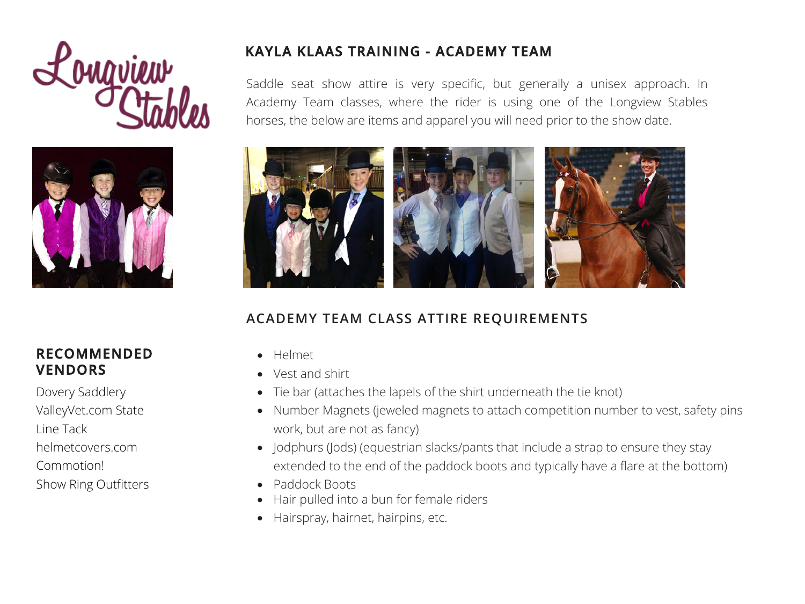



#### **RECOMMENDED VENDORS**

[Dovery Saddlery](https://www.doversaddlery.com/)  [ValleyVet.com](https://www.valleyvet.com/) State Line Tack [helmetcovers.com](https://www.helmetcovers.com/) [Commotion!](http://shopcommotion.com/) [Show Ring Outfitters](https://www.showringoutfitters.com/)

## **KAYLA KLAAS TRAINING - ACADEMY TEAM**

Saddle seat show attire is very specific, but generally a unisex approach. In Academy Team classes, where the rider is using one of the Longview Stables horses, the below are items and apparel you will need prior to the show date.



# **ACADEMY TEAM CLASS ATTIRE REQUIREMENTS**

- Helmet
- Vest and shirt
- Tie bar (attaches the lapels of the shirt underneath the tie knot)
- Number Magnets (jeweled magnets to attach competition number to vest, safety pins work, but are not as fancy)
- Jodphurs (Jods) (equestrian slacks/pants that include a strap to ensure they stay extended to the end of the paddock boots and typically have a flare at the bottom)
- Paddock Boots
- Hair pulled into a bun for female riders
- Hairspray, hairnet, hairpins, etc.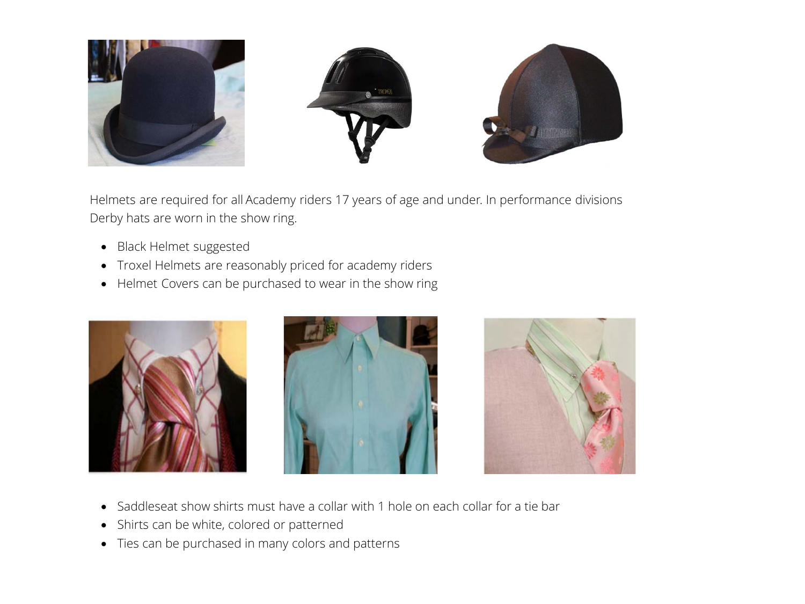

Helmets are required for all Academy riders 17 years of age and under. In performance divisions Derby hats are worn in the show ring.

- Black Helmet suggested
- Troxel Helmets are reasonably priced for academy riders
- Helmet Covers can be purchased to wear in the show ring







- Saddleseat show shirts must have a collar with 1 hole on each collar for a tie bar
- Shirts can be white, colored or patterned
- Ties can be purchased in many colors and patterns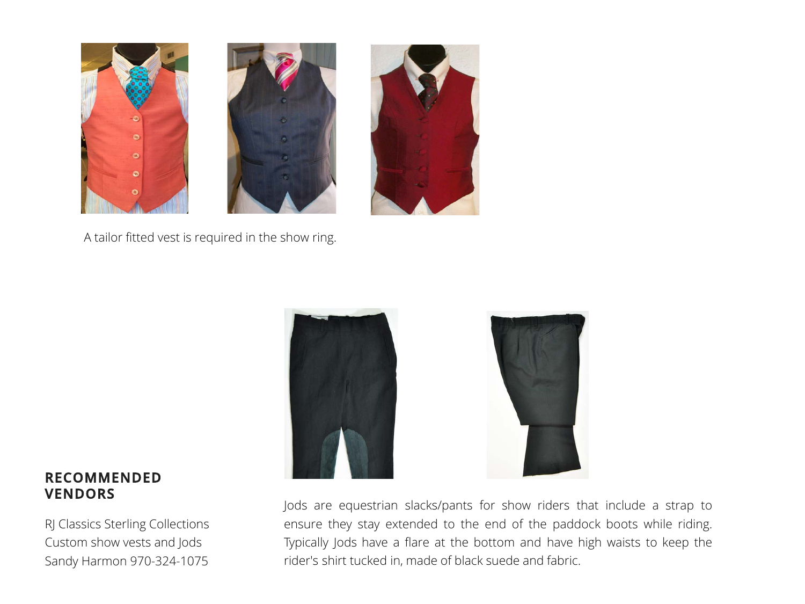

A tailor fitted vest is required in the show ring.



### Jods are equestrian slacks/pants for show riders that include a strap to ensure they stay extended to the end of the paddock boots while riding. Typically Jods have a flare at the bottom and have high waists to keep the rider's shirt tucked in, made of black suede and fabric.

#### **REC[O](http://www.thegoodhabitonline.com/Vests.html)MMENDED VENDORS**

[RJ Classics Sterling Collections](https://www.doversaddlery.com/rj-classics/c/NewBrand_1001_386/26utm_source=google&utm_medium=cpc&utm_campaign=NB_Search_Dynamic_GOOG&utm_term=Google_AdGroup&eid=X17A00U3222/?gclid=CjwKCAiAr6-ABhAfEiwADO4sfQbKt1zfWovbnI2FChKdqWc2023ZtoKjyAzE_KtJD10fyjSRKGuThxoChEcQAvD_BwE) Custom show vests and Jods Sandy Harmon 970-324-1075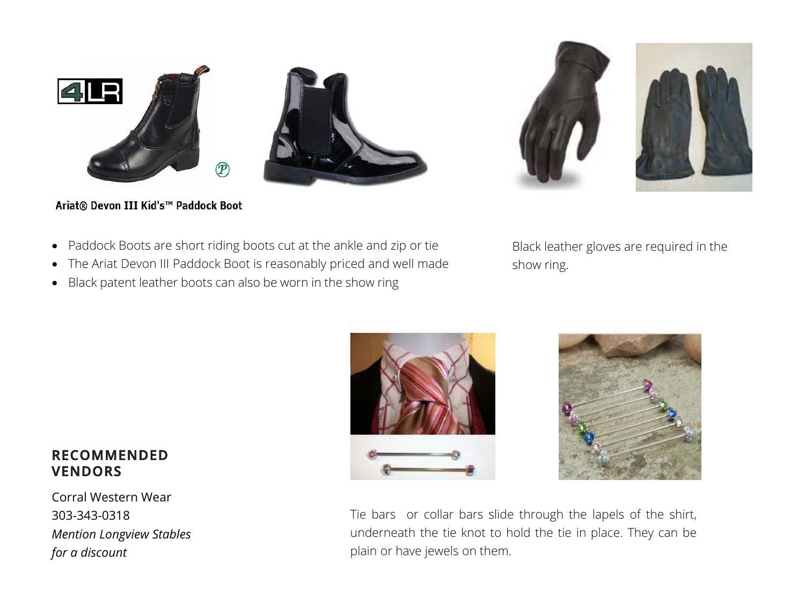



#### Ariat® Devon III Kid's™ Paddock Boot

- Paddock Boots are short riding boots cut at the ankle and zip or tie
- The Ariat Devon III Paddock Boot is reasonably priced and well made
- Black patent leather boots can also be worn in the show ring

Black leather gloves are required in the show ring.

# **RE[COMMENDED](http://www.thegoodhabitonline.com/Vests.html) VENDORS**

Cor[ral Western Wear](http://www.thegoodhabitonline.com/Vests.html)  303-343-0318 *Mention Longview Stables for a discount*





Tie bars or collar bars slide through the lapels of the shirt, underneath the tie knot to hold the tie in place. They can be plain or have jewels on them.